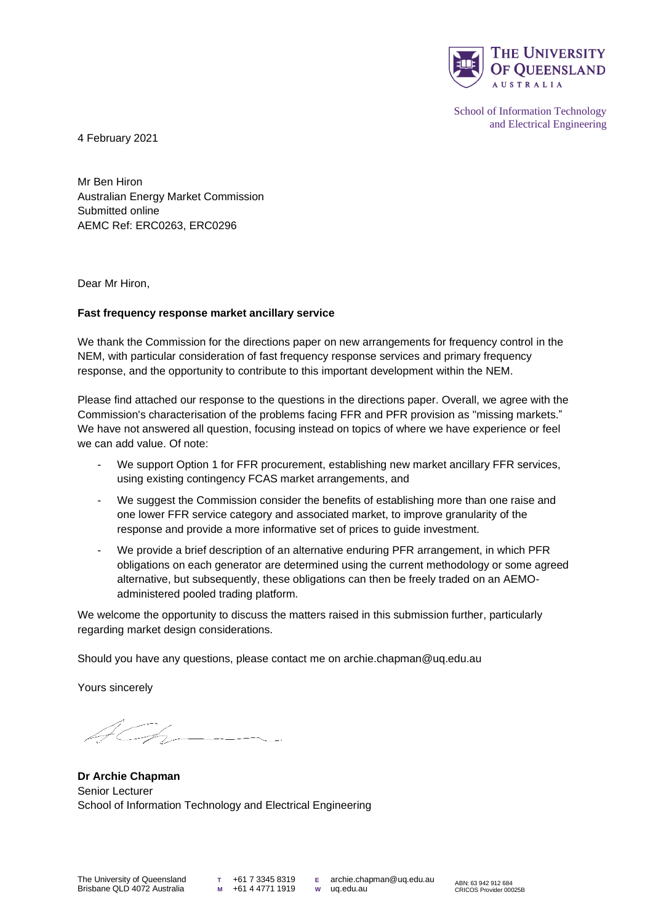

School of Information Technology and Electrical Engineering

4 February 2021

Mr Ben Hiron Australian Energy Market Commission Submitted online AEMC Ref: ERC0263, ERC0296

Dear Mr Hiron,

## **Fast frequency response market ancillary service**

We thank the Commission for the directions paper on new arrangements for frequency control in the NEM, with particular consideration of fast frequency response services and primary frequency response, and the opportunity to contribute to this important development within the NEM.

Please find attached our response to the questions in the directions paper. Overall, we agree with the Commission's characterisation of the problems facing FFR and PFR provision as "missing markets." We have not answered all question, focusing instead on topics of where we have experience or feel we can add value. Of note:

- We support Option 1 for FFR procurement, establishing new market ancillary FFR services, using existing contingency FCAS market arrangements, and
- We suggest the Commission consider the benefits of establishing more than one raise and one lower FFR service category and associated market, to improve granularity of the response and provide a more informative set of prices to guide investment.
- We provide a brief description of an alternative enduring PFR arrangement, in which PFR obligations on each generator are determined using the current methodology or some agreed alternative, but subsequently, these obligations can then be freely traded on an AEMOadministered pooled trading platform.

We welcome the opportunity to discuss the matters raised in this submission further, particularly regarding market design considerations.

Should you have any questions, please contact me on archie.chapman@uq.edu.au

Yours sincerely

 $\mathcal{Z}_{\mathbb{Z}}$ 

**Dr Archie Chapman** Senior Lecturer School of Information Technology and Electrical Engineering

**T** +61 7 3345 8319 **M** +61 4 4771 1919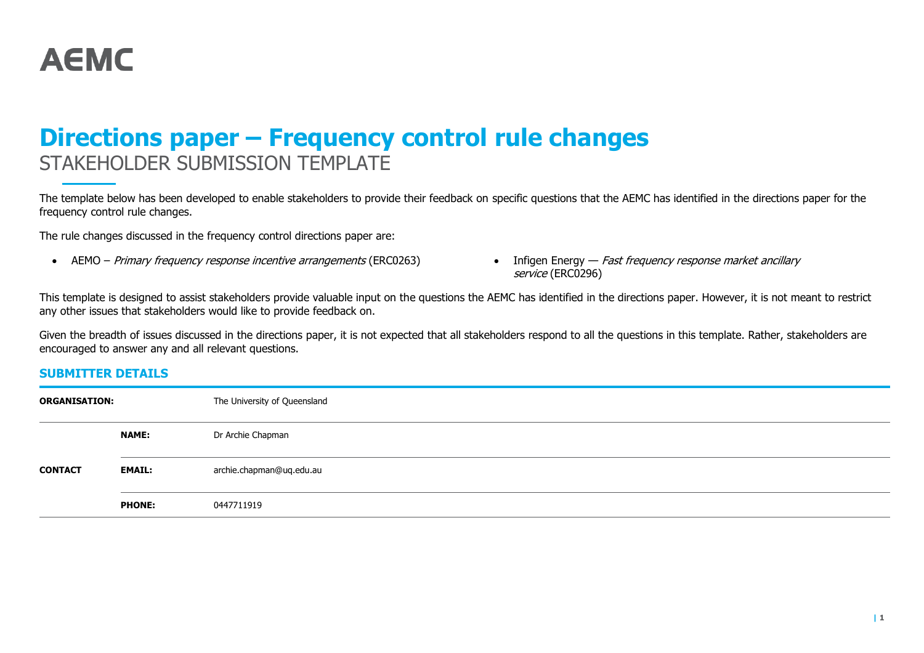

# **Directions paper – Frequency control rule changes** STAKEHOLDER SUBMISSION TEMPLATE

The template below has been developed to enable stakeholders to provide their feedback on specific questions that the AEMC has identified in the directions paper for the frequency control rule changes.

The rule changes discussed in the frequency control directions paper are:

- AEMO Primary frequency response incentive arrangements (ERC0263) Infigen Energy Fast frequency response market ancillary
	- service (ERC0296)

This template is designed to assist stakeholders provide valuable input on the questions the AEMC has identified in the directions paper. However, it is not meant to restrict any other issues that stakeholders would like to provide feedback on.

Given the breadth of issues discussed in the directions paper, it is not expected that all stakeholders respond to all the questions in this template. Rather, stakeholders are encouraged to answer any and all relevant questions.

## **SUBMITTER DETAILS**

| <b>ORGANISATION:</b> |               | The University of Queensland |
|----------------------|---------------|------------------------------|
|                      | <b>NAME:</b>  | Dr Archie Chapman            |
| <b>CONTACT</b>       | <b>EMAIL:</b> | archie.chapman@uq.edu.au     |
|                      | <b>PHONE:</b> | 0447711919                   |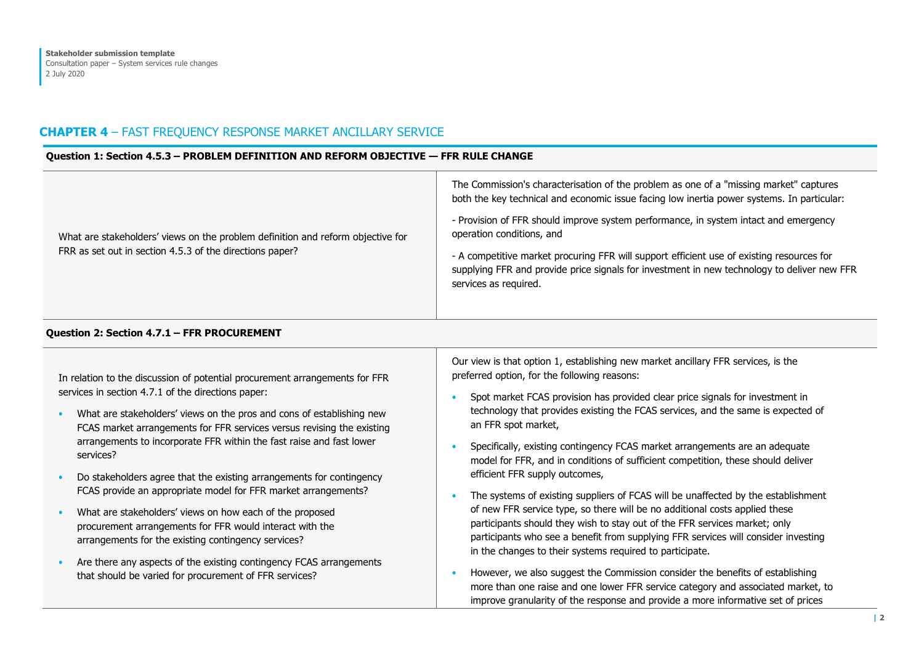## **CHAPTER 4** – FAST FREQUENCY RESPONSE MARKET ANCILLARY SERVICE

#### **Question 1: Section 4.5.3 – PROBLEM DEFINITION AND REFORM OBJECTIVE — FFR RULE CHANGE**

| What are stakeholders' views on the problem definition and reform objective for<br>FRR as set out in section 4.5.3 of the directions paper? | The Commission's characterisation of the problem as one of a "missing market" captures<br>both the key technical and economic issue facing low inertia power systems. In particular:<br>- Provision of FFR should improve system performance, in system intact and emergency<br>operation conditions, and<br>- A competitive market procuring FFR will support efficient use of existing resources for<br>supplying FFR and provide price signals for investment in new technology to deliver new FFR<br>services as required. |
|---------------------------------------------------------------------------------------------------------------------------------------------|--------------------------------------------------------------------------------------------------------------------------------------------------------------------------------------------------------------------------------------------------------------------------------------------------------------------------------------------------------------------------------------------------------------------------------------------------------------------------------------------------------------------------------|
|---------------------------------------------------------------------------------------------------------------------------------------------|--------------------------------------------------------------------------------------------------------------------------------------------------------------------------------------------------------------------------------------------------------------------------------------------------------------------------------------------------------------------------------------------------------------------------------------------------------------------------------------------------------------------------------|

#### **Question 2: Section 4.7.1 – FFR PROCUREMENT**

In relation to the discussion of potential procurement arrangements for FFR services in section 4.7.1 of the directions paper:

- What are stakeholders' views on the pros and cons of establishing new FCAS market arrangements for FFR services versus revising the existing arrangements to incorporate FFR within the fast raise and fast lower services?
- Do stakeholders agree that the existing arrangements for contingency FCAS provide an appropriate model for FFR market arrangements?
- What are stakeholders' views on how each of the proposed procurement arrangements for FFR would interact with the arrangements for the existing contingency services?
- Are there any aspects of the existing contingency FCAS arrangements that should be varied for procurement of FFR services?

Our view is that option 1, establishing new market ancillary FFR services, is the preferred option, for the following reasons:

- Spot market FCAS provision has provided clear price signals for investment in technology that provides existing the FCAS services, and the same is expected of an FFR spot market,
- Specifically, existing contingency FCAS market arrangements are an adequate model for FFR, and in conditions of sufficient competition, these should deliver efficient FFR supply outcomes,
- The systems of existing suppliers of FCAS will be unaffected by the establishment of new FFR service type, so there will be no additional costs applied these participants should they wish to stay out of the FFR services market; only participants who see a benefit from supplying FFR services will consider investing in the changes to their systems required to participate.
- However, we also suggest the Commission consider the benefits of establishing more than one raise and one lower FFR service category and associated market, to improve granularity of the response and provide a more informative set of prices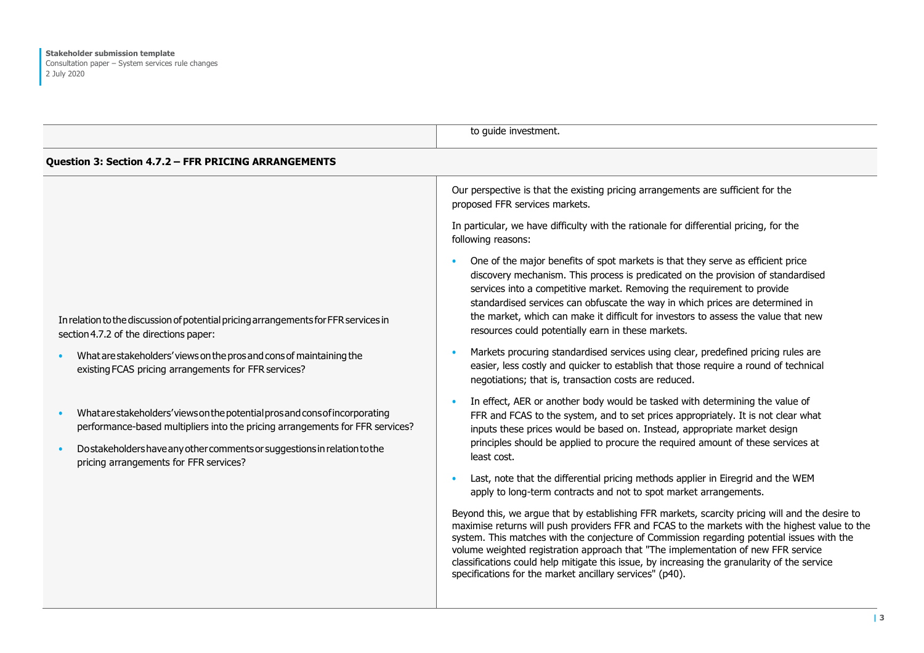|                                                                                                                                                                                                                                                                                     | to guide investment.                                                                                                                                                                                                                                                                                                                                                                                                                                                                                                                             |
|-------------------------------------------------------------------------------------------------------------------------------------------------------------------------------------------------------------------------------------------------------------------------------------|--------------------------------------------------------------------------------------------------------------------------------------------------------------------------------------------------------------------------------------------------------------------------------------------------------------------------------------------------------------------------------------------------------------------------------------------------------------------------------------------------------------------------------------------------|
| Question 3: Section 4.7.2 - FFR PRICING ARRANGEMENTS                                                                                                                                                                                                                                |                                                                                                                                                                                                                                                                                                                                                                                                                                                                                                                                                  |
|                                                                                                                                                                                                                                                                                     | Our perspective is that the existing pricing arrangements are sufficient for the<br>proposed FFR services markets.                                                                                                                                                                                                                                                                                                                                                                                                                               |
|                                                                                                                                                                                                                                                                                     | In particular, we have difficulty with the rationale for differential pricing, for the<br>following reasons:                                                                                                                                                                                                                                                                                                                                                                                                                                     |
| In relation to the discussion of potential pricing arrangements for FFR services in<br>section 4.7.2 of the directions paper:                                                                                                                                                       | One of the major benefits of spot markets is that they serve as efficient price<br>$\bullet$<br>discovery mechanism. This process is predicated on the provision of standardised<br>services into a competitive market. Removing the requirement to provide<br>standardised services can obfuscate the way in which prices are determined in<br>the market, which can make it difficult for investors to assess the value that new<br>resources could potentially earn in these markets.                                                         |
| What are stakeholders' views on the pros and cons of maintaining the<br>existing FCAS pricing arrangements for FFR services?                                                                                                                                                        | Markets procuring standardised services using clear, predefined pricing rules are<br>$\bullet$<br>easier, less costly and quicker to establish that those require a round of technical<br>negotiations; that is, transaction costs are reduced.                                                                                                                                                                                                                                                                                                  |
| What are stakeholders' views on the potential pros and consof incorporating<br>performance-based multipliers into the pricing arrangements for FFR services?<br>Do stakeholders have any other comments or suggestions in relation to the<br>pricing arrangements for FFR services? | In effect, AER or another body would be tasked with determining the value of<br>$\bullet$<br>FFR and FCAS to the system, and to set prices appropriately. It is not clear what<br>inputs these prices would be based on. Instead, appropriate market design<br>principles should be applied to procure the required amount of these services at<br>least cost.                                                                                                                                                                                   |
|                                                                                                                                                                                                                                                                                     | Last, note that the differential pricing methods applier in Eiregrid and the WEM<br>$\bullet$<br>apply to long-term contracts and not to spot market arrangements.                                                                                                                                                                                                                                                                                                                                                                               |
|                                                                                                                                                                                                                                                                                     | Beyond this, we argue that by establishing FFR markets, scarcity pricing will and the desire to<br>maximise returns will push providers FFR and FCAS to the markets with the highest value to the<br>system. This matches with the conjecture of Commission regarding potential issues with the<br>volume weighted registration approach that "The implementation of new FFR service<br>classifications could help mitigate this issue, by increasing the granularity of the service<br>specifications for the market ancillary services" (p40). |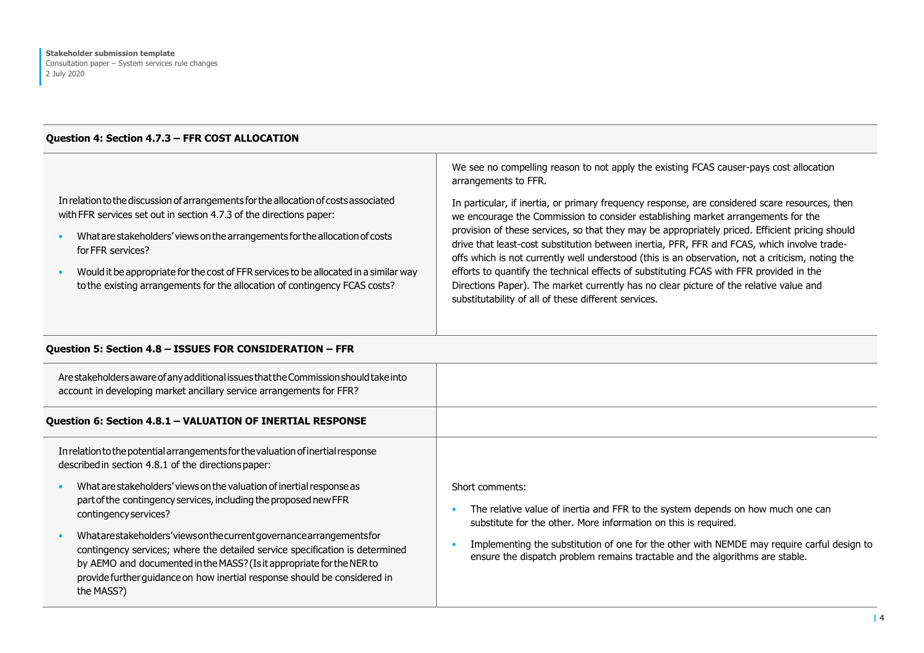#### **Question 4: Section 4.7.3 – FFR COST ALLOCATION**

### In relation to the discussion of arrangements for the allocation of costs associated with FFR services set out in section 4.7.3 of the directions paper:

- Whatare stakeholders' views onthe arrangements forthe allocationof costs forFFR services?
- Would it be appropriate for the cost of FFR services to be allocated in a similar way to the existing arrangements for the allocation of contingency FCAS costs?

We see no compelling reason to not apply the existing FCAS causer-pays cost allocation arrangements to FFR.

In particular, if inertia, or primary frequency response, are considered scare resources, then we encourage the Commission to consider establishing market arrangements for the provision of these services, so that they may be appropriately priced. Efficient pricing should drive that least-cost substitution between inertia, PFR, FFR and FCAS, which involve tradeoffs which is not currently well understood (this is an observation, not a criticism, noting the efforts to quantify the technical effects of substituting FCAS with FFR provided in the Directions Paper). The market currently has no clear picture of the relative value and substitutability of all of these different services.

### **Question 5: Section 4.8 – ISSUES FOR CONSIDERATION – FFR**

| Are stakeholders aware of any additional issues that the Commission should take into<br>account in developing market ancillary service arrangements for FFR?                                                                                                                                                                                                                                                                                                                             |                                                                                                                                                                                                                                                                                                                                                     |
|------------------------------------------------------------------------------------------------------------------------------------------------------------------------------------------------------------------------------------------------------------------------------------------------------------------------------------------------------------------------------------------------------------------------------------------------------------------------------------------|-----------------------------------------------------------------------------------------------------------------------------------------------------------------------------------------------------------------------------------------------------------------------------------------------------------------------------------------------------|
| Question 6: Section 4.8.1 - VALUATION OF INERTIAL RESPONSE                                                                                                                                                                                                                                                                                                                                                                                                                               |                                                                                                                                                                                                                                                                                                                                                     |
| In relation to the potential arrangements for the valuation of inertial response<br>described in section 4.8.1 of the directions paper:                                                                                                                                                                                                                                                                                                                                                  |                                                                                                                                                                                                                                                                                                                                                     |
| What are stakeholders' views on the valuation of inertial response as<br>part of the contingency services, including the proposed new FFR<br>contingency services?<br>Whatarestakeholders'viewsonthecurrentgovernancearrangementsfor<br>contingency services; where the detailed service specification is determined<br>by AEMO and documented in the MASS? (Is it appropriate for the NER to<br>provide further guidance on how inertial response should be considered in<br>the MASS?) | Short comments:<br>The relative value of inertia and FFR to the system depends on how much one can<br>substitute for the other. More information on this is required.<br>Implementing the substitution of one for the other with NEMDE may require carful design to<br>ensure the dispatch problem remains tractable and the algorithms are stable. |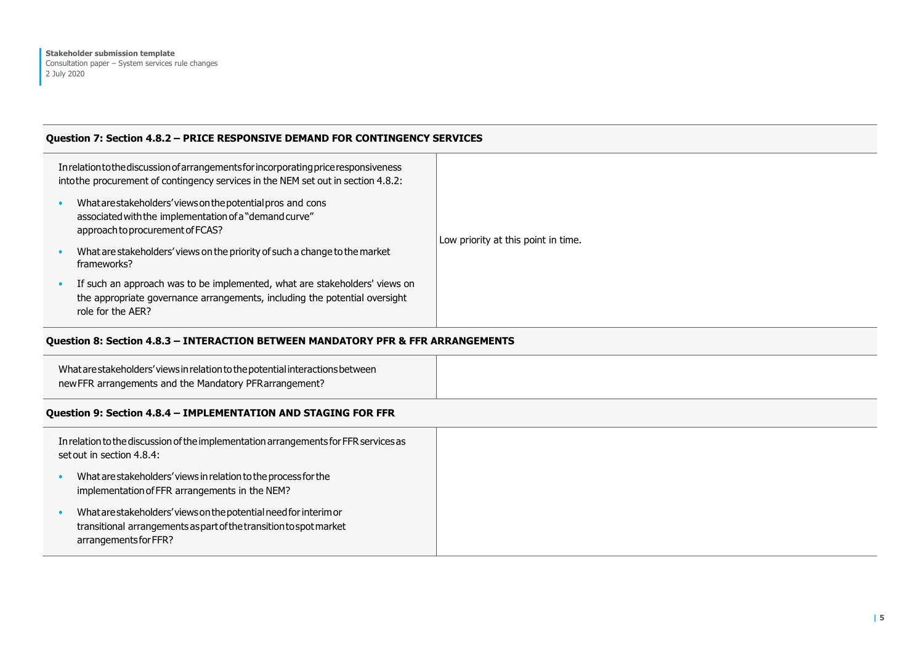#### **Question 7: Section 4.8.2 – PRICE RESPONSIVE DEMAND FOR CONTINGENCY SERVICES**

| In relation to the discussion of arrangements for incorporating price responsiveness<br>into the procurement of contingency services in the NEM set out in section 4.8.2: |                                                                                                                                                                               |                                     |
|---------------------------------------------------------------------------------------------------------------------------------------------------------------------------|-------------------------------------------------------------------------------------------------------------------------------------------------------------------------------|-------------------------------------|
|                                                                                                                                                                           | What are stakeholders' views on the potential pros and cons<br>associated with the implementation of a "demand curve"<br>approach to procurement of FCAS?                     | Low priority at this point in time. |
|                                                                                                                                                                           | What are stakeholders' views on the priority of such a change to the market<br>frameworks?                                                                                    |                                     |
|                                                                                                                                                                           | If such an approach was to be implemented, what are stakeholders' views on<br>the appropriate governance arrangements, including the potential oversight<br>role for the AER? |                                     |
|                                                                                                                                                                           |                                                                                                                                                                               |                                     |

## **Question 8: Section 4.8.3 – INTERACTION BETWEEN MANDATORY PFR & FFR ARRANGEMENTS**

| What are stakeholders' views in relation to the potential interactions between<br>new FFR arrangements and the Mandatory PFR arrangement? |  |
|-------------------------------------------------------------------------------------------------------------------------------------------|--|
|                                                                                                                                           |  |

#### **Question 9: Section 4.8.4 – IMPLEMENTATION AND STAGING FOR FFR**

| In relation to the discussion of the implementation arrangements for FFR services as<br>set out in section 4.8.4: |                                                                                                                                                                  |
|-------------------------------------------------------------------------------------------------------------------|------------------------------------------------------------------------------------------------------------------------------------------------------------------|
|                                                                                                                   | What are stakeholders' views in relation to the process for the<br>implementation of FFR arrangements in the NEM?                                                |
|                                                                                                                   | What are stakeholders' views on the potential need for interim or<br>transitional arrangements as part of the transition to spot market<br>arrangements for FFR? |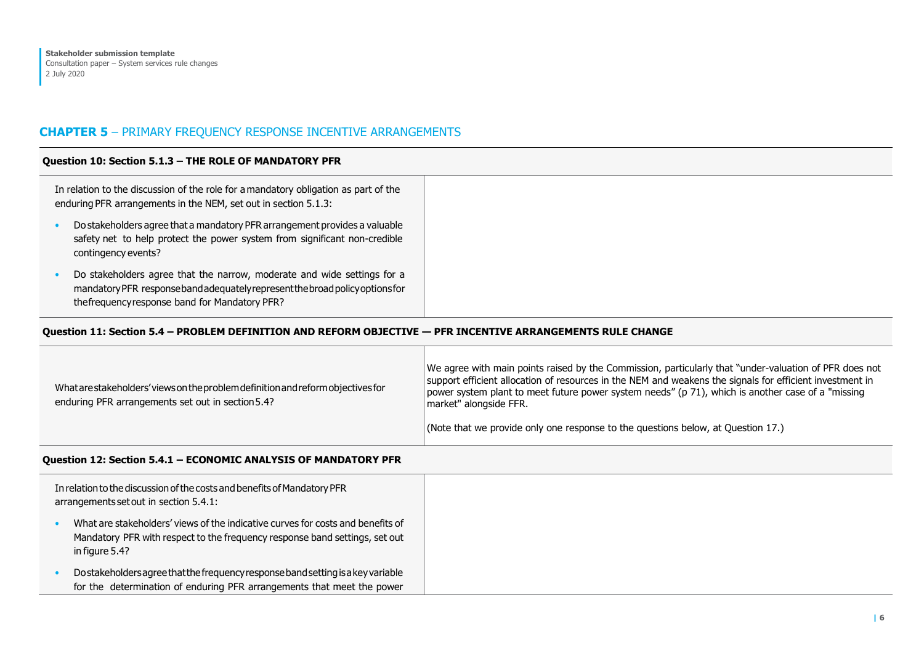## **CHAPTER 5** – PRIMARY FREQUENCY RESPONSE INCENTIVE ARRANGEMENTS

#### **Question 10: Section 5.1.3 – THE ROLE OF MANDATORY PFR**

| In relation to the discussion of the role for a mandatory obligation as part of the<br>enduring PFR arrangements in the NEM, set out in section 5.1.3:                                                     |
|------------------------------------------------------------------------------------------------------------------------------------------------------------------------------------------------------------|
| Do stakeholders agree that a mandatory PFR arrangement provides a valuable<br>safety net to help protect the power system from significant non-credible<br>contingency events?                             |
| Do stakeholders agree that the narrow, moderate and wide settings for a<br>mandatory PFR response band adequately represent the broad policy options for<br>the frequency response band for Mandatory PFR? |

#### **Question 11: Section 5.4 – PROBLEM DEFINITION AND REFORM OBJECTIVE — PFR INCENTIVE ARRANGEMENTS RULE CHANGE**

| What are stakeholders' views on the problem definition and reform objectives for<br>enduring PFR arrangements set out in section 5.4? | We agree with main points raised by the Commission, particularly that "under-valuation of PFR does not<br>support efficient allocation of resources in the NEM and weakens the signals for efficient investment in<br>power system plant to meet future power system needs" (p 71), which is another case of a "missing<br>market" alongside FFR. |
|---------------------------------------------------------------------------------------------------------------------------------------|---------------------------------------------------------------------------------------------------------------------------------------------------------------------------------------------------------------------------------------------------------------------------------------------------------------------------------------------------|
|                                                                                                                                       | (Note that we provide only one response to the questions below, at Question 17.)                                                                                                                                                                                                                                                                  |

## **Question 12: Section 5.4.1 – ECONOMIC ANALYSIS OF MANDATORY PFR**

| In relation to the discussion of the costs and benefits of Mandatory PFR<br>arrangements set out in section 5.4.1: |                                                                                                                                                                                  |
|--------------------------------------------------------------------------------------------------------------------|----------------------------------------------------------------------------------------------------------------------------------------------------------------------------------|
|                                                                                                                    | What are stakeholders' views of the indicative curves for costs and benefits of<br>Mandatory PFR with respect to the frequency response band settings, set out<br>in figure 5.4? |
|                                                                                                                    | Do stakeholders agree that the frequency response band setting is a key variable<br>for the determination of enduring PFR arrangements that meet the power                       |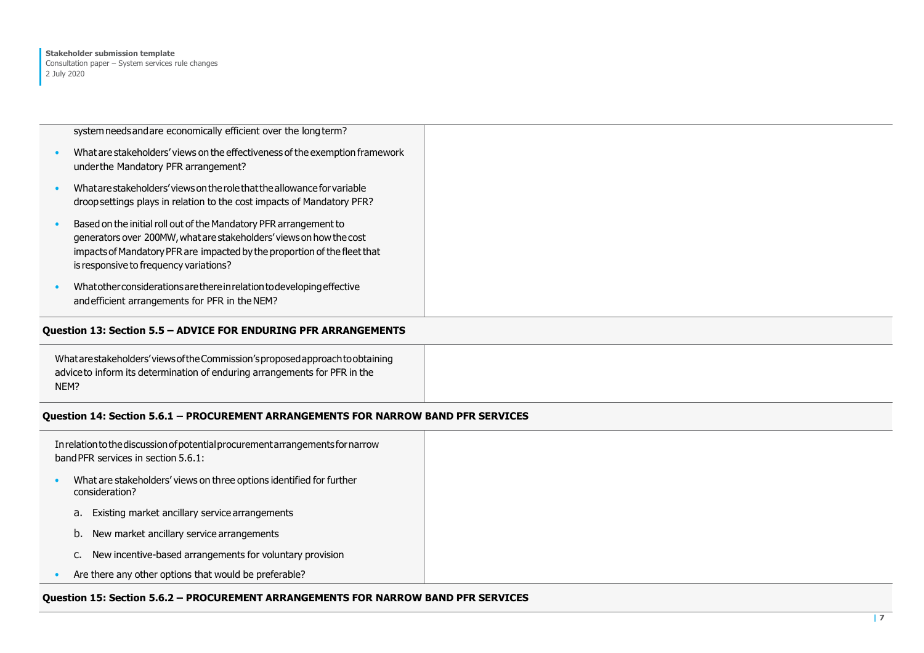| system needs and are economically efficient over the long term?<br>What are stakeholders' views on the effectiveness of the exemption framework<br>under the Mandatory PFR arrangement?                                                                         |
|-----------------------------------------------------------------------------------------------------------------------------------------------------------------------------------------------------------------------------------------------------------------|
| What are stakeholders' views on the role that the allowance for variable<br>droop settings plays in relation to the cost impacts of Mandatory PFR?                                                                                                              |
| Based on the initial roll out of the Mandatory PFR arrangement to<br>generators over 200MW, what are stakeholders' views on how the cost<br>impacts of Mandatory PFR are impacted by the proportion of the fleet that<br>is responsive to frequency variations? |
| What other considerations are there in relation to developing effective<br>and efficient arrangements for PFR in the NEM?                                                                                                                                       |

#### **Question 13: Section 5.5 – ADVICE FOR ENDURING PFR ARRANGEMENTS**

| What are stakeholders' views of the Commission's proposed approach to obtaining |
|---------------------------------------------------------------------------------|
| adviceto inform its determination of enduring arrangements for PFR in the       |
| NEM?                                                                            |

#### **Question 14: Section 5.6.1 – PROCUREMENT ARRANGEMENTS FOR NARROW BAND PFR SERVICES**

| In relation to the discussion of potential procurement arrangements for narrow<br>band PFR services in section 5.6.1: |                                                                                        |
|-----------------------------------------------------------------------------------------------------------------------|----------------------------------------------------------------------------------------|
|                                                                                                                       | What are stakeholders' views on three options identified for further<br>consideration? |
|                                                                                                                       | Existing market ancillary service arrangements<br>a.                                   |
|                                                                                                                       | b. New market ancillary service arrangements                                           |
|                                                                                                                       | C. New incentive-based arrangements for voluntary provision                            |
|                                                                                                                       | Are there any other options that would be preferable?                                  |

#### **Question 15: Section 5.6.2 – PROCUREMENT ARRANGEMENTS FOR NARROW BAND PFR SERVICES**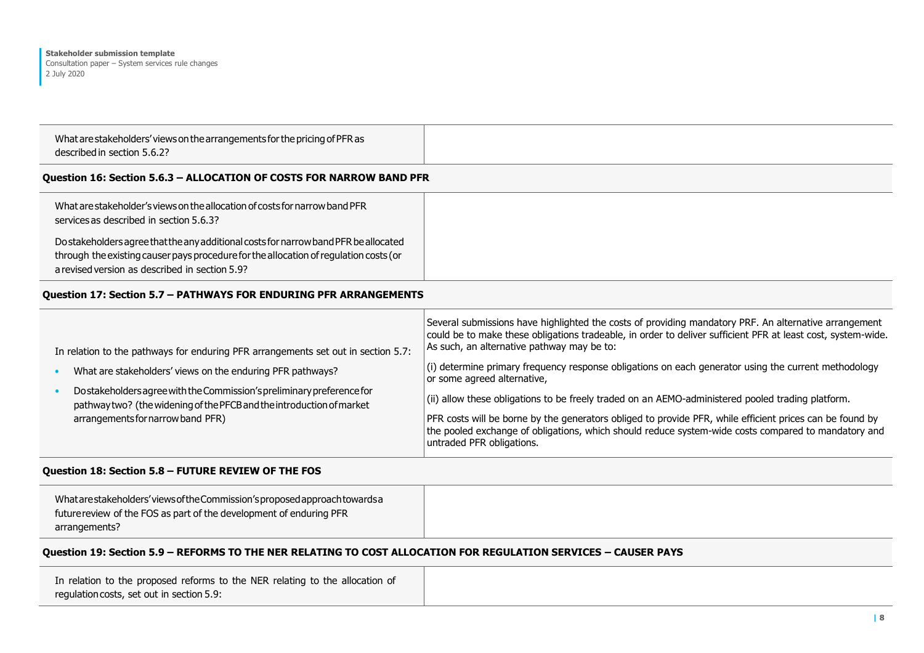| described in section 5.6.2?                                                |  |
|----------------------------------------------------------------------------|--|
| What are stakeholders' views on the arrangements for the pricing of PFR as |  |

#### **Question 16: Section 5.6.3 – ALLOCATION OF COSTS FOR NARROW BAND PFR**

| What are stakeholder's views on the allocation of costs for narrow band PFR<br>services as described in section 5.6.3?                                                                                                          |
|---------------------------------------------------------------------------------------------------------------------------------------------------------------------------------------------------------------------------------|
| Do stakeholders agree that the any additional costs for narrow band PFR be allocated<br>through the existing causer pays procedure for the allocation of regulation costs (or<br>a revised version as described in section 5.9? |

#### **Question 17: Section 5.7 – PATHWAYS FOR ENDURING PFR ARRANGEMENTS**

| In relation to the pathways for enduring PFR arrangements set out in section 5.7:                                                               | Several submissions have highlighted the costs of providing mandatory PRF. An alternative arrangement<br>could be to make these obligations tradeable, in order to deliver sufficient PFR at least cost, system-wide.<br>As such, an alternative pathway may be to: |
|-------------------------------------------------------------------------------------------------------------------------------------------------|---------------------------------------------------------------------------------------------------------------------------------------------------------------------------------------------------------------------------------------------------------------------|
| What are stakeholders' views on the enduring PFR pathways?                                                                                      | $(i)$ determine primary frequency response obligations on each generator using the current methodology<br>or some agreed alternative,                                                                                                                               |
| Do stakeholders agree with the Commission's preliminary preference for<br>pathway two? (the widening of the PFCB and the introduction of market | (ii) allow these obligations to be freely traded on an AEMO-administered pooled trading platform.                                                                                                                                                                   |
| arrangements for narrow band PFR)                                                                                                               | PFR costs will be borne by the generators obliged to provide PFR, while efficient prices can be found by<br>the pooled exchange of obligations, which should reduce system-wide costs compared to mandatory and<br>untraded PFR obligations.                        |

## **Question 18: Section 5.8 – FUTURE REVIEW OF THE FOS**

| What are stakeholders' views of the Commission's proposed approach towards a |
|------------------------------------------------------------------------------|
| future review of the FOS as part of the development of enduring PFR          |
| arrangements?                                                                |

## **Question 19: Section 5.9 – REFORMS TO THE NER RELATING TO COST ALLOCATION FOR REGULATION SERVICES – CAUSER PAYS**

| In relation to the proposed reforms to the NER relating to the allocation of |
|------------------------------------------------------------------------------|
| regulation costs, set out in section 5.9:                                    |
|                                                                              |